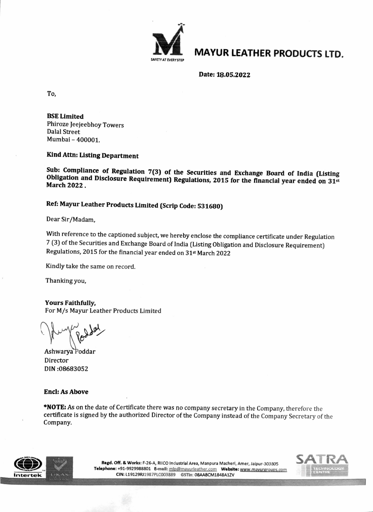

## **MAYUR LEATHER PRODUCTS LTD.**

Date: 18.05.2022

To,

BSE Limited Phiroze Jeejeebhoy Towers Dalal Street Mumbai - 400001.

Kind Attn: Listing Department

Sub: Compliance of Regulation 7(3) of the Securities and Exchange Board of India (Listing Obligation and Disclosure Requirement) Regulations, 2015 for the financial year ended on 31st March 2022.

## Ref: Mayur Leather Products Limited (Scrip Code: 531680)

Dear Sir/Madam,

With reference to the captioned subject, we hereby enclose the compliance certificate under Regulation<br>7 (3) of the Securities and Exchange Board of India (Listing Obligation and Disclosure Requirement) Regulations, 2015 for the financial year ended on 31st March 2022

Kindly take the same on record.

Thanking you,

Yours Faithfully, For M/s Mayur Leather Products Limited

Ashwarya Poddar Director DIN :08683052

## Encl: As Above

\*NOTE: As on the date of Certificate there was no company secretary in the Company, therefore the certificate is signed by the authorized Director of the Company instead of the Company Secretary of the Company.



Regd. Off. & Works: F-26-A, RIICO Industrial Area, Manpura Macheri, Amer, Jaipur-303805<br>Telephone: +91-9929988801 E-mail: mlp@mayurleather.com Website: www.mayurgroups.com<br>CIN: L19129RJ1987PLC003889 GSTIn: 08AABCM1848A1ZV